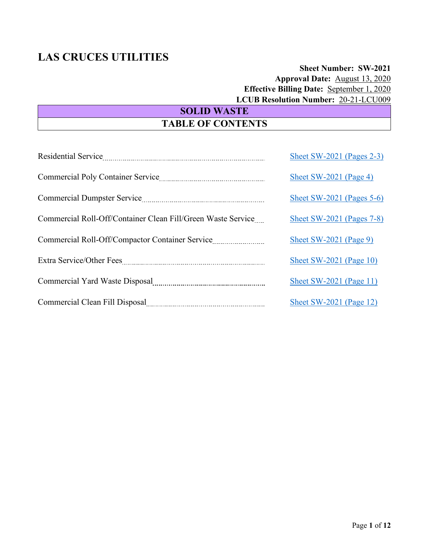# **Sheet Number: SW-2021 Approval Date:** August 13, 2020  **Effective Billing Date:** September 1, 2020 **LCUB Resolution Number:** 20-21-LCU009

# **SOLID WASTE TABLE OF CONTENTS**

|                                                              | Sheet SW-2021 (Pages $2-3$ ) |
|--------------------------------------------------------------|------------------------------|
|                                                              | Sheet SW-2021 (Page 4)       |
|                                                              | Sheet SW-2021 (Pages $5-6$ ) |
| Commercial Roll-Off/Container Clean Fill/Green Waste Service | Sheet SW-2021 (Pages 7-8)    |
| Commercial Roll-Off/Compactor Container Service              | Sheet SW-2021 (Page 9)       |
|                                                              | Sheet SW-2021 (Page $10$ )   |
|                                                              | Sheet SW-2021 (Page 11)      |
|                                                              | Sheet SW-2021 (Page $12$ )   |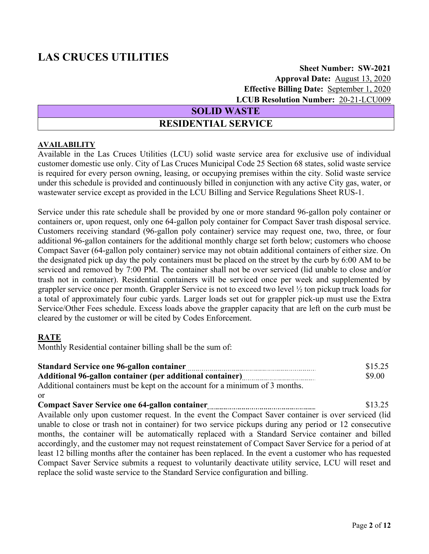## **Sheet Number: SW-2021 Approval Date:** August 13, 2020  **Effective Billing Date:** September 1, 2020  **LCUB Resolution Number:** 20-21-LCU009

### **SOLID WASTE**

# **RESIDENTIAL SERVICE**

### <span id="page-1-0"></span>**AVAILABILITY**

Available in the Las Cruces Utilities (LCU) solid waste service area for exclusive use of individual customer domestic use only. City of Las Cruces Municipal Code 25 Section 68 states, solid waste service is required for every person owning, leasing, or occupying premises within the city. Solid waste service under this schedule is provided and continuously billed in conjunction with any active City gas, water, or wastewater service except as provided in the LCU Billing and Service Regulations Sheet RUS-1.

Service under this rate schedule shall be provided by one or more standard 96-gallon poly container or containers or, upon request, only one 64-gallon poly container for Compact Saver trash disposal service. Customers receiving standard (96-gallon poly container) service may request one, two, three, or four additional 96-gallon containers for the additional monthly charge set forth below; customers who choose Compact Saver (64-gallon poly container) service may not obtain additional containers of either size. On the designated pick up day the poly containers must be placed on the street by the curb by 6:00 AM to be serviced and removed by 7:00 PM. The container shall not be over serviced (lid unable to close and/or trash not in container). Residential containers will be serviced once per week and supplemented by grappler service once per month. Grappler Service is not to exceed two level ½ ton pickup truck loads for a total of approximately four cubic yards. Larger loads set out for grappler pick-up must use the Extra Service/Other Fees schedule. Excess loads above the grappler capacity that are left on the curb must be cleared by the customer or will be cited by Codes Enforcement.

### **RATE**

Monthly Residential container billing shall be the sum of:

| <b>Standard Service one 96-gallon container</b>                              | \$15.25 |
|------------------------------------------------------------------------------|---------|
|                                                                              | \$9.00  |
| Additional containers must be kept on the account for a minimum of 3 months. |         |

or

**Compact Saver Service one 64-gallon container 13.25** \$13.25 Available only upon customer request. In the event the Compact Saver container is over serviced (lid unable to close or trash not in container) for two service pickups during any period or 12 consecutive months, the container will be automatically replaced with a Standard Service container and billed accordingly, and the customer may not request reinstatement of Compact Saver Service for a period of at least 12 billing months after the container has been replaced. In the event a customer who has requested Compact Saver Service submits a request to voluntarily deactivate utility service, LCU will reset and replace the solid waste service to the Standard Service configuration and billing.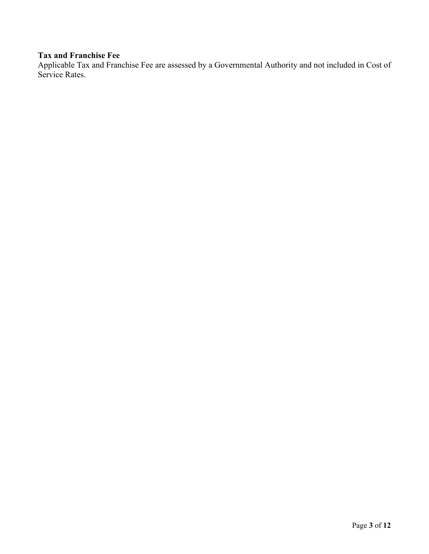# **Tax and Franchise Fee**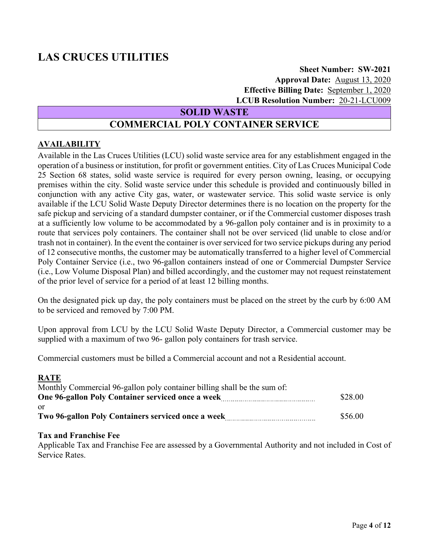**Sheet Number: SW-2021 Approval Date:** August 13, 2020  **Effective Billing Date:** September 1, 2020  **LCUB Resolution Number:** 20-21-LCU009

**SOLID WASTE**

# **COMMERCIAL POLY CONTAINER SERVICE**

### <span id="page-3-0"></span>**AVAILABILITY**

Available in the Las Cruces Utilities (LCU) solid waste service area for any establishment engaged in the operation of a business or institution, for profit or government entities. City of Las Cruces Municipal Code 25 Section 68 states, solid waste service is required for every person owning, leasing, or occupying premises within the city. Solid waste service under this schedule is provided and continuously billed in conjunction with any active City gas, water, or wastewater service. This solid waste service is only available if the LCU Solid Waste Deputy Director determines there is no location on the property for the safe pickup and servicing of a standard dumpster container, or if the Commercial customer disposes trash at a sufficiently low volume to be accommodated by a 96-gallon poly container and is in proximity to a route that services poly containers. The container shall not be over serviced (lid unable to close and/or trash not in container). In the event the container is over serviced for two service pickups during any period of 12 consecutive months, the customer may be automatically transferred to a higher level of Commercial Poly Container Service (i.e., two 96-gallon containers instead of one or Commercial Dumpster Service (i.e., Low Volume Disposal Plan) and billed accordingly, and the customer may not request reinstatement of the prior level of service for a period of at least 12 billing months.

On the designated pick up day, the poly containers must be placed on the street by the curb by 6:00 AM to be serviced and removed by 7:00 PM.

Upon approval from LCU by the LCU Solid Waste Deputy Director, a Commercial customer may be supplied with a maximum of two 96- gallon poly containers for trash service.

Commercial customers must be billed a Commercial account and not a Residential account.

### **RATE**

| Monthly Commercial 96-gallon poly container billing shall be the sum of: |         |
|--------------------------------------------------------------------------|---------|
| One 96-gallon Poly Container serviced once a week                        | \$28.00 |
| or                                                                       |         |
| Two 96-gallon Poly Containers serviced once a week                       | \$56.00 |

### **Tax and Franchise Fee**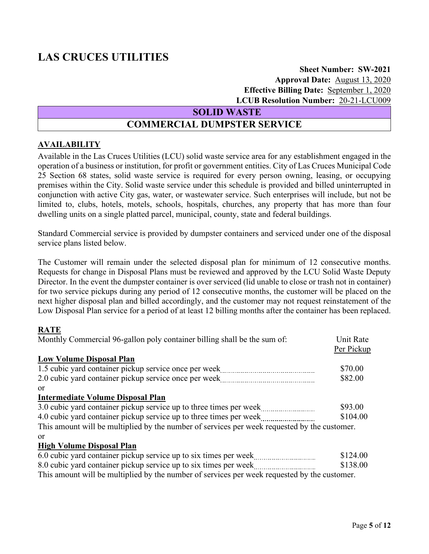## **Sheet Number: SW-2021 Approval Date:** August 13, 2020  **Effective Billing Date:** September 1, 2020  **LCUB Resolution Number:** 20-21-LCU009

### **SOLID WASTE**

# **COMMERCIAL DUMPSTER SERVICE**

### <span id="page-4-0"></span>**AVAILABILITY**

Available in the Las Cruces Utilities (LCU) solid waste service area for any establishment engaged in the operation of a business or institution, for profit or government entities. City of Las Cruces Municipal Code 25 Section 68 states, solid waste service is required for every person owning, leasing, or occupying premises within the City. Solid waste service under this schedule is provided and billed uninterrupted in conjunction with active City gas, water, or wastewater service. Such enterprises will include, but not be limited to, clubs, hotels, motels, schools, hospitals, churches, any property that has more than four dwelling units on a single platted parcel, municipal, county, state and federal buildings.

Standard Commercial service is provided by dumpster containers and serviced under one of the disposal service plans listed below.

The Customer will remain under the selected disposal plan for minimum of 12 consecutive months. Requests for change in Disposal Plans must be reviewed and approved by the LCU Solid Waste Deputy Director. In the event the dumpster container is over serviced (lid unable to close or trash not in container) for two service pickups during any period of 12 consecutive months, the customer will be placed on the next higher disposal plan and billed accordingly, and the customer may not request reinstatement of the Low Disposal Plan service for a period of at least 12 billing months after the container has been replaced.

### **RATE**

| Monthly Commercial 96-gallon poly container billing shall be the sum of:                     | Unit Rate  |
|----------------------------------------------------------------------------------------------|------------|
|                                                                                              | Per Pickup |
| <b>Low Volume Disposal Plan</b>                                                              |            |
|                                                                                              | \$70.00    |
|                                                                                              | \$82.00    |
| <sub>or</sub>                                                                                |            |
| <b>Intermediate Volume Disposal Plan</b>                                                     |            |
| 3.0 cubic yard container pickup service up to three times per week                           | \$93.00    |
| 4.0 cubic yard container pickup service up to three times per week                           | \$104.00   |
| This amount will be multiplied by the number of services per week requested by the customer. |            |
| <sub>or</sub>                                                                                |            |
| <b>High Volume Disposal Plan</b>                                                             |            |
| 6.0 cubic yard container pickup service up to six times per week                             | \$124.00   |

| 0.0 cubic yard container prekup service up to six times per week.<br>\<br>`--------------------------------- | _⊍ ⊥∠ <del>⊣</del> .∪∪ |
|--------------------------------------------------------------------------------------------------------------|------------------------|
| 8.0 cubic yard container pickup service up to six times per week                                             | \$138.00               |
| This amount will be multiplied by the number of services per week requested by the customer.                 |                        |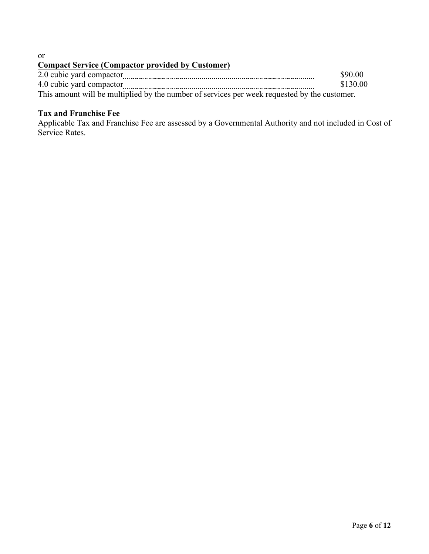or

# **Compact Service (Compactor provided by Customer)**

|                                                                                              | \$90.00  |
|----------------------------------------------------------------------------------------------|----------|
|                                                                                              | \$130.00 |
| This amount will be multiplied by the number of services per week requested by the customer. |          |

# **Tax and Franchise Fee**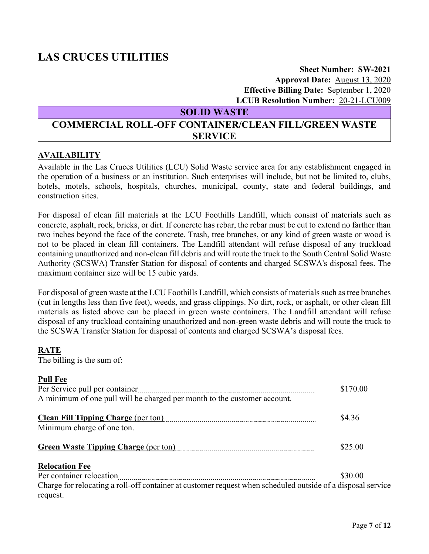### **Sheet Number: SW-2021 Approval Date:** August 13, 2020  **Effective Billing Date:** September 1, 2020  **LCUB Resolution Number:** 20-21-LCU009

## **SOLID WASTE**

# <span id="page-6-0"></span>**COMMERCIAL ROLL-OFF CONTAINER/CLEAN FILL/GREEN WASTE SERVICE**

### **AVAILABILITY**

Available in the Las Cruces Utilities (LCU) Solid Waste service area for any establishment engaged in the operation of a business or an institution. Such enterprises will include, but not be limited to, clubs, hotels, motels, schools, hospitals, churches, municipal, county, state and federal buildings, and construction sites.

For disposal of clean fill materials at the LCU Foothills Landfill, which consist of materials such as concrete, asphalt, rock, bricks, or dirt. If concrete has rebar, the rebar must be cut to extend no farther than two inches beyond the face of the concrete. Trash, tree branches, or any kind of green waste or wood is not to be placed in clean fill containers. The Landfill attendant will refuse disposal of any truckload containing unauthorized and non-clean fill debris and will route the truck to the South Central Solid Waste Authority (SCSWA) Transfer Station for disposal of contents and charged SCSWA's disposal fees. The maximum container size will be 15 cubic yards.

For disposal of green waste at the LCU Foothills Landfill, which consists of materials such as tree branches (cut in lengths less than five feet), weeds, and grass clippings. No dirt, rock, or asphalt, or other clean fill materials as listed above can be placed in green waste containers. The Landfill attendant will refuse disposal of any truckload containing unauthorized and non-green waste debris and will route the truck to the SCSWA Transfer Station for disposal of contents and charged SCSWA's disposal fees.

### **RATE**

The billing is the sum of:

### **Pull Fee**

| Per Service pull per container                                                                              | \$170.00 |
|-------------------------------------------------------------------------------------------------------------|----------|
| A minimum of one pull will be charged per month to the customer account.                                    |          |
|                                                                                                             | \$4.36   |
| Minimum charge of one ton.                                                                                  |          |
|                                                                                                             | \$25.00  |
| <b>Relocation Fee</b>                                                                                       |          |
|                                                                                                             | \$30.00  |
| Charge for relocating a roll-off container at customer request when scheduled outside of a disposal service |          |
| request.                                                                                                    |          |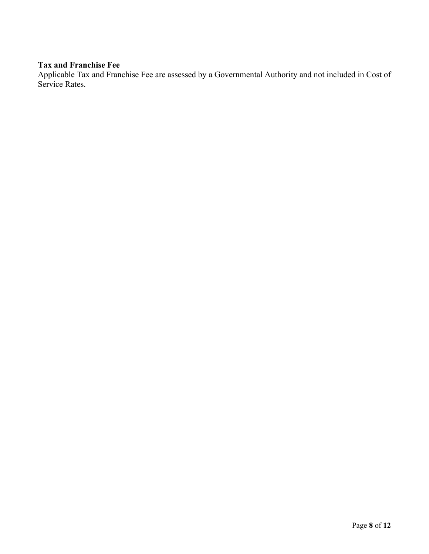## **Tax and Franchise Fee**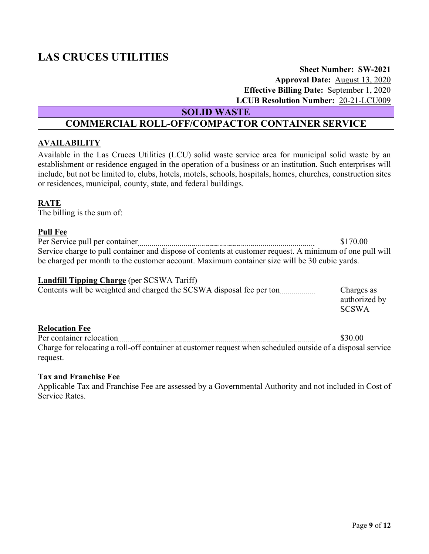## **Sheet Number: SW-2021 Approval Date:** August 13, 2020  **Effective Billing Date:** September 1, 2020  **LCUB Resolution Number:** 20-21-LCU009

**SOLID WASTE**

# **COMMERCIAL ROLL-OFF/COMPACTOR CONTAINER SERVICE**

### <span id="page-8-0"></span>**AVAILABILITY**

Available in the Las Cruces Utilities (LCU) solid waste service area for municipal solid waste by an establishment or residence engaged in the operation of a business or an institution. Such enterprises will include, but not be limited to, clubs, hotels, motels, schools, hospitals, homes, churches, construction sites or residences, municipal, county, state, and federal buildings.

### **RATE**

The billing is the sum of:

### **Pull Fee**

|                                                                                                          | \$170.00 |
|----------------------------------------------------------------------------------------------------------|----------|
| Service charge to pull container and dispose of contents at customer request. A minimum of one pull will |          |
| be charged per month to the customer account. Maximum container size will be 30 cubic yards.             |          |

### **Landfill Tipping Charge** (per SCSWA Tariff)

| Contents will be weighted and charged the SCSWA disposal fee per ton | Charges as    |
|----------------------------------------------------------------------|---------------|
|                                                                      | authorized by |
|                                                                      | <b>SCSWA</b>  |

### **Relocation Fee**

Per container relocation \$30.00 Charge for relocating a roll-off container at customer request when scheduled outside of a disposal service request.

### **Tax and Franchise Fee**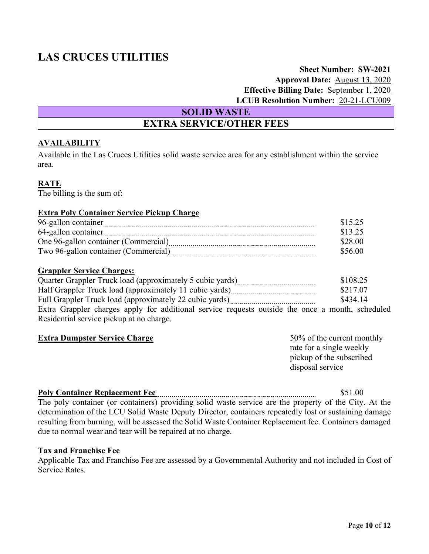## **Sheet Number: SW-2021 Approval Date:** August 13, 2020  **Effective Billing Date:** September 1, 2020  **LCUB Resolution Number:** 20-21-LCU009

**SOLID WASTE**

# **EXTRA SERVICE/OTHER FEES**

### <span id="page-9-0"></span>**AVAILABILITY**

Available in the Las Cruces Utilities solid waste service area for any establishment within the service area.

#### **RATE**

The billing is the sum of:

### **Extra Poly Container Service Pickup Charge**

| 96-gallon container                  | \$15.25 |
|--------------------------------------|---------|
| 64-gallon container                  | \$13.25 |
| One 96-gallon container (Commercial) | \$28.00 |
| Two 96-gallon container (Commercial) | \$56.00 |

#### **Grappler Service Charges:**

| Quarter Grappler Truck load (approximately 5 cubic yards) <i>manual content</i> content of the Cuarter Grappler Truck load (approximately 5 cubic yards) | \$108.25 |
|----------------------------------------------------------------------------------------------------------------------------------------------------------|----------|
|                                                                                                                                                          | \$217.07 |
|                                                                                                                                                          | \$434.14 |
| Extra Grappler charges apply for additional service requests outside the once a month, scheduled                                                         |          |
|                                                                                                                                                          |          |

Residential service pickup at no charge.

| <b>Extra Dumpster Service Charge</b> | 50% of the current monthly |
|--------------------------------------|----------------------------|
|                                      | rate for a single weekly   |
|                                      | pickup of the subscribed   |
|                                      | disposal service           |

### **Poly Container Replacement Fee** \$51.00 The poly container (or containers) providing solid waste service are the property of the City. At the determination of the LCU Solid Waste Deputy Director, containers repeatedly lost or sustaining damage resulting from burning, will be assessed the Solid Waste Container Replacement fee. Containers damaged due to normal wear and tear will be repaired at no charge.

### **Tax and Franchise Fee**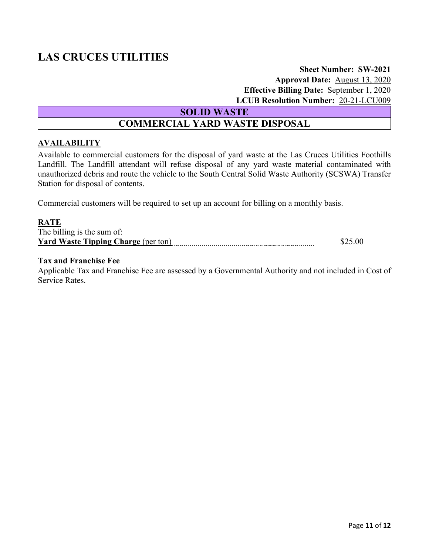## **Sheet Number: SW-2021 Approval Date:** August 13, 2020  **Effective Billing Date:** September 1, 2020  **LCUB Resolution Number:** 20-21-LCU009

**SOLID WASTE**

# **COMMERCIAL YARD WASTE DISPOSAL**

### <span id="page-10-0"></span>**AVAILABILITY**

Available to commercial customers for the disposal of yard waste at the Las Cruces Utilities Foothills Landfill. The Landfill attendant will refuse disposal of any yard waste material contaminated with unauthorized debris and route the vehicle to the South Central Solid Waste Authority (SCSWA) Transfer Station for disposal of contents.

Commercial customers will be required to set up an account for billing on a monthly basis.

#### **RATE**

| The billing is the sum of:                 |  |
|--------------------------------------------|--|
| <b>Yard Waste Tipping Charge (per ton)</b> |  |

#### **Tax and Franchise Fee**